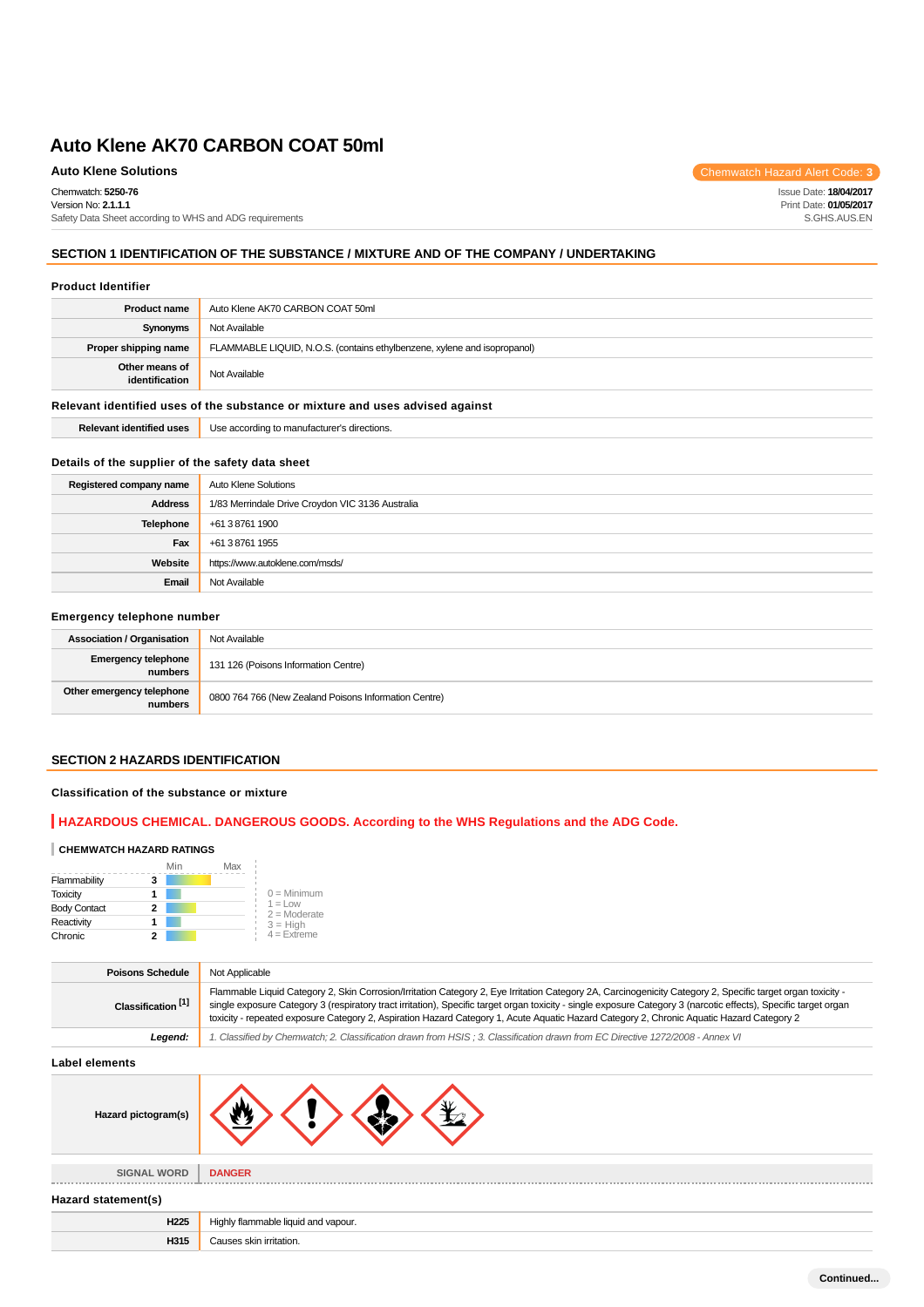Chemwatch: **5250-76** Version No: **2.1.1.1**

Safety Data Sheet according to WHS and ADG requirements

## **SECTION 1 IDENTIFICATION OF THE SUBSTANCE / MIXTURE AND OF THE COMPANY / UNDERTAKING**

#### **Product Identifier**

| <b>Product name</b>                                                           | Auto Klene AK70 CARBON COAT 50ml                                         |  |
|-------------------------------------------------------------------------------|--------------------------------------------------------------------------|--|
| Synonyms                                                                      | Not Available                                                            |  |
| Proper shipping name                                                          | FLAMMABLE LIQUID, N.O.S. (contains ethylbenzene, xylene and isopropanol) |  |
| Other means of<br>identification                                              | Not Available                                                            |  |
| Relevant identified uses of the substance or mixture and uses advised against |                                                                          |  |
| <b>Relevant identified uses</b>                                               | Use according to manufacturer's directions.                              |  |

## **Details of the supplier of the safety data sheet**

| Registered company name | Auto Klene Solutions                             |
|-------------------------|--------------------------------------------------|
| <b>Address</b>          | 1/83 Merrindale Drive Croydon VIC 3136 Australia |
| Telephone               | +61 3 8761 1900                                  |
| Fax                     | +61 3 8761 1955                                  |
| Website                 | https://www.autoklene.com/msds/                  |
| Email                   | Not Available                                    |

## **Emergency telephone number**

| <b>Association / Organisation</b>    | Not Available                                         |
|--------------------------------------|-------------------------------------------------------|
| Emergency telephone<br>numbers       | 131 126 (Poisons Information Centre)                  |
| Other emergency telephone<br>numbers | 0800 764 766 (New Zealand Poisons Information Centre) |

# **SECTION 2 HAZARDS IDENTIFICATION**

## **Classification of the substance or mixture**

## **HAZARDOUS CHEMICAL. DANGEROUS GOODS. According to the WHS Regulations and the ADG Code.**

#### **CHEMWATCH HAZARD RATINGS**

|                     |   | Min | Max |                              |
|---------------------|---|-----|-----|------------------------------|
| Flammability        | 3 |     |     |                              |
| <b>Toxicity</b>     |   |     |     | $0 =$ Minimum                |
| <b>Body Contact</b> | 2 |     |     | $1 = 1$ OW<br>$2 =$ Moderate |
| Reactivity          |   |     |     | $3 = High$                   |
| Chronic             |   |     |     | $4 =$ Extreme                |

| <b>Poisons Schedule</b>       | Not Applicable                                                                                                                                                                                                                                                                                                                                                                                                                                                               |  |
|-------------------------------|------------------------------------------------------------------------------------------------------------------------------------------------------------------------------------------------------------------------------------------------------------------------------------------------------------------------------------------------------------------------------------------------------------------------------------------------------------------------------|--|
| Classification <sup>[1]</sup> | Flammable Liquid Category 2, Skin Corrosion/Irritation Category 2, Eye Irritation Category 2A, Carcinogenicity Category 2, Specific target organ toxicity -<br>single exposure Category 3 (respiratory tract irritation), Specific target organ toxicity - single exposure Category 3 (narcotic effects), Specific target organ<br>toxicity - repeated exposure Category 2, Aspiration Hazard Category 1, Acute Aquatic Hazard Category 2, Chronic Aquatic Hazard Category 2 |  |
| Legend:                       | 1. Classified by Chemwatch; 2. Classification drawn from HSIS; 3. Classification drawn from EC Directive 1272/2008 - Annex VI                                                                                                                                                                                                                                                                                                                                                |  |
| Label elements                |                                                                                                                                                                                                                                                                                                                                                                                                                                                                              |  |
| Hazard pictogram(s)           |                                                                                                                                                                                                                                                                                                                                                                                                                                                                              |  |

**SIGNAL WORD DANGER**

# **Hazard statement(s)**

| <b>LOO</b> | --<br>apour<br><br> |
|------------|---------------------|
|            |                     |

Auto Klene Solutions **Chemwatch Hazard Alert Code: 3** 

Issue Date: **18/04/2017** Print Date: **01/05/2017** S.GHS.AUS.EN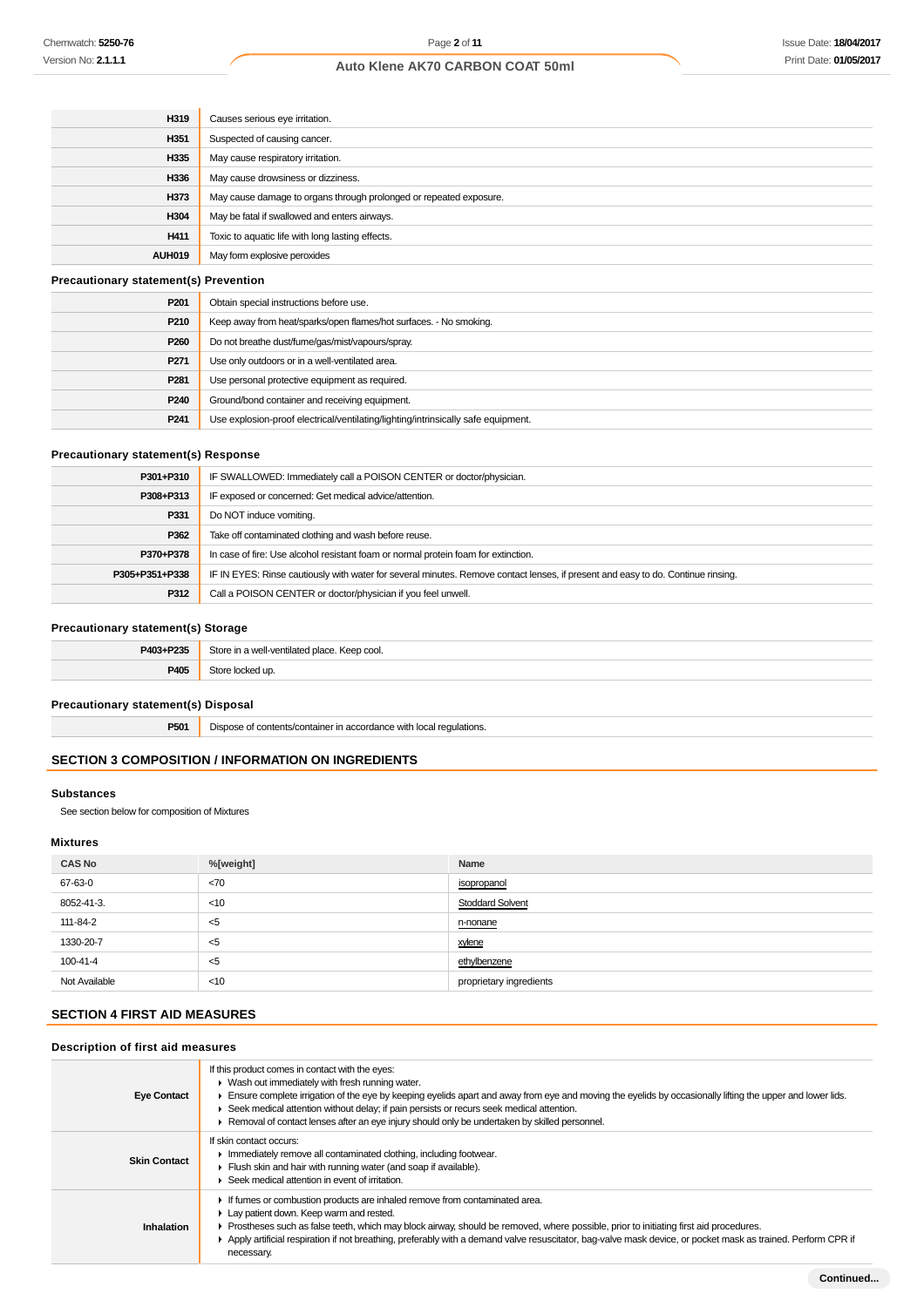| H319                                         | Causes serious eye irritation.                                     |  |
|----------------------------------------------|--------------------------------------------------------------------|--|
| H351                                         | Suspected of causing cancer.                                       |  |
| H335                                         | May cause respiratory irritation.                                  |  |
| H336                                         | May cause drowsiness or dizziness.                                 |  |
| H373                                         | May cause damage to organs through prolonged or repeated exposure. |  |
| H304                                         | May be fatal if swallowed and enters airways.                      |  |
| H411                                         | Toxic to aquatic life with long lasting effects.                   |  |
| <b>AUH019</b>                                | May form explosive peroxides                                       |  |
| <b>Precautionary statement(s) Prevention</b> |                                                                    |  |

| P <sub>201</sub> | Obtain special instructions before use.                                           |
|------------------|-----------------------------------------------------------------------------------|
| P <sub>210</sub> | Keep away from heat/sparks/open flames/hot surfaces. - No smoking.                |
| P <sub>260</sub> | Do not breathe dust/fume/gas/mist/vapours/spray.                                  |
| P <sub>271</sub> | Use only outdoors or in a well-ventilated area.                                   |
| P <sub>281</sub> | Use personal protective equipment as required.                                    |
| P240             | Ground/bond container and receiving equipment.                                    |
| P <sub>241</sub> | Use explosion-proof electrical/ventilating/lighting/intrinsically safe equipment. |

## **Precautionary statement(s) Response**

| P301+P310      | IF SWALLOWED: Immediately call a POISON CENTER or doctor/physician.                                                              |
|----------------|----------------------------------------------------------------------------------------------------------------------------------|
| P308+P313      | IF exposed or concerned: Get medical advice/attention.                                                                           |
| P331           | Do NOT induce vomiting.                                                                                                          |
| P362           | Take off contaminated clothing and wash before reuse.                                                                            |
| P370+P378      | In case of fire: Use alcohol resistant foam or normal protein foam for extinction.                                               |
| P305+P351+P338 | IF IN EYES: Rinse cautiously with water for several minutes. Remove contact lenses, if present and easy to do. Continue rinsing. |
| P312           | Call a POISON CENTER or doctor/physician if you feel unwell.                                                                     |

## **Precautionary statement(s) Storage**

| P403+P235 | Store in a well-ventilated place. Keep cool. |
|-----------|----------------------------------------------|
| P405      | ocked up.                                    |
|           |                                              |

## **Precautionary statement(s) Disposal**

**P501** Dispose of contents/container in accordance with local regulations.

# **SECTION 3 COMPOSITION / INFORMATION ON INGREDIENTS**

## **Substances**

See section below for composition of Mixtures

# **Mixtures**

| <b>CAS No</b> | %[weight] | Name                    |
|---------------|-----------|-------------------------|
| 67-63-0       | <70       | isopropanol             |
| 8052-41-3.    | $<$ 10    | <b>Stoddard Solvent</b> |
| 111-84-2      | - <5      | n-nonane<br>____        |
| 1330-20-7     | <5        | xylene                  |
| 100-41-4      | <5        | ethylbenzene            |
| Not Available | $<$ 10    | proprietary ingredients |

## **SECTION 4 FIRST AID MEASURES**

# **Description of first aid measures**

| <b>Eye Contact</b>  | If this product comes in contact with the eyes:<br>• Wash out immediately with fresh running water.<br>Ensure complete irrigation of the eye by keeping eyelids apart and away from eye and moving the eyelids by occasionally lifting the upper and lower lids.<br>$\blacktriangleright$ Seek medical attention without delay; if pain persists or recurs seek medical attention.<br>► Removal of contact lenses after an eye injury should only be undertaken by skilled personnel. |
|---------------------|---------------------------------------------------------------------------------------------------------------------------------------------------------------------------------------------------------------------------------------------------------------------------------------------------------------------------------------------------------------------------------------------------------------------------------------------------------------------------------------|
| <b>Skin Contact</b> | If skin contact occurs:<br>In mediately remove all contaminated clothing, including footwear.<br>Flush skin and hair with running water (and soap if available).<br>▶ Seek medical attention in event of irritation.                                                                                                                                                                                                                                                                  |
| Inhalation          | If fumes or combustion products are inhaled remove from contaminated area.<br>Lay patient down. Keep warm and rested.<br>► Prostheses such as false teeth, which may block airway, should be removed, where possible, prior to initiating first aid procedures.<br>Apply artificial respiration if not breathing, preferably with a demand valve resuscitator, bag-valve mask device, or pocket mask as trained. Perform CPR if<br>necessary.                                         |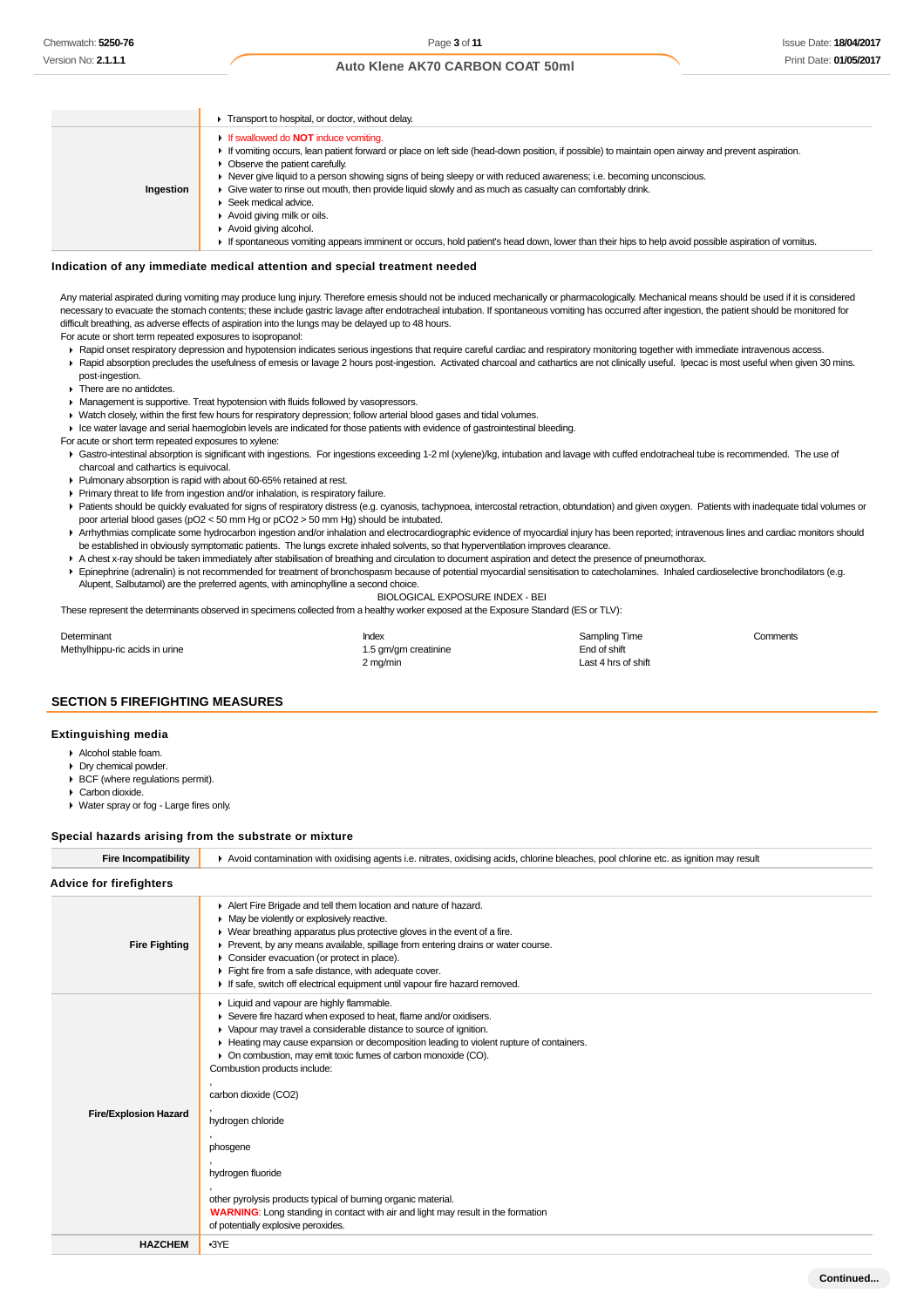## Issue Date: **18/04/2017** Print Date: **01/05/2017**

## **Auto Klene AK70 CARBON COAT 50ml**

|           | Transport to hospital, or doctor, without delay.                                                                                                                                                                                                                                                                                                                                                                                                                                                                                                                                                                                                                                                             |
|-----------|--------------------------------------------------------------------------------------------------------------------------------------------------------------------------------------------------------------------------------------------------------------------------------------------------------------------------------------------------------------------------------------------------------------------------------------------------------------------------------------------------------------------------------------------------------------------------------------------------------------------------------------------------------------------------------------------------------------|
| Ingestion | If swallowed do <b>NOT</b> induce vomiting.<br>If vomiting occurs, lean patient forward or place on left side (head-down position, if possible) to maintain open airway and prevent aspiration.<br>• Observe the patient carefully.<br>► Never give liquid to a person showing signs of being sleepy or with reduced awareness; i.e. becoming unconscious.<br>• Give water to rinse out mouth, then provide liquid slowly and as much as casualty can comfortably drink.<br>Seek medical advice.<br>Avoid giving milk or oils.<br>Avoid giving alcohol.<br>If spontaneous vomiting appears imminent or occurs, hold patient's head down, lower than their hips to help avoid possible aspiration of vomitus. |

### **Indication of any immediate medical attention and special treatment needed**

Any material aspirated during vomiting may produce lung injury. Therefore emesis should not be induced mechanically or pharmacologically. Mechanical means should be used if it is considered necessary to evacuate the stomach contents; these include gastric lavage after endotracheal intubation. If spontaneous vomiting has occurred after ingestion, the patient should be monitored for difficult breathing, as adverse effects of aspiration into the lungs may be delayed up to 48 hours.

For acute or short term repeated exposures to isopropanol:

- ▶ Rapid onset respiratory depression and hypotension indicates serious ingestions that require careful cardiac and respiratory monitoring together with immediate intravenous access. Rapid absorption precludes the usefulness of emesis or lavage 2 hours post-ingestion. Activated charcoal and cathartics are not clinically useful. Ipecac is most useful when given 30 mins.
- post-ingestion.
- ▶ There are no antidotes.
- **Management is supportive. Treat hypotension with fluids followed by vasopressors.**
- Watch closely, within the first few hours for respiratory depression; follow arterial blood gases and tidal volumes.
- Ice water lavage and serial haemoglobin levels are indicated for those patients with evidence of gastrointestinal bleeding.
- For acute or short term repeated exposures to xylene:
- Gastro-intestinal absorption is significant with ingestions. For ingestions exceeding 1-2 ml (xylene)/kg, intubation and lavage with cuffed endotracheal tube is recommended. The use of charcoal and cathartics is equivocal.
- Pulmonary absorption is rapid with about 60-65% retained at rest.
- Primary threat to life from ingestion and/or inhalation, is respiratory failure.
- Patients should be quickly evaluated for signs of respiratory distress (e.g. cyanosis, tachypnoea, intercostal retraction, obtundation) and given oxygen. Patients with inadequate tidal volumes or poor arterial blood gases (pO2 < 50 mm Hg or pCO2 > 50 mm Hg) should be intubated.
- Arrhythmias complicate some hydrocarbon ingestion and/or inhalation and electrocardiographic evidence of myocardial injury has been reported; intravenous lines and cardiac monitors should be established in obviously symptomatic patients. The lungs excrete inhaled solvents, so that hyperventilation improves clearance.
- A chest x-ray should be taken immediately after stabilisation of breathing and circulation to document aspiration and detect the presence of pneumothorax.
- Epinephrine (adrenalin) is not recommended for treatment of bronchospasm because of potential myocardial sensitisation to catecholamines. Inhaled cardioselective bronchodilators (e.g. Alupent, Salbutamol) are the preferred agents, with aminophylline a second choice.

BIOLOGICAL EXPOSURE INDEX - BEI

These represent the determinants observed in specimens collected from a healthy worker exposed at the Exposure Standard (ES or TLV):

| Determinant                    | Index                | Sampling Time       | Comments |
|--------------------------------|----------------------|---------------------|----------|
| Methylhippu-ric acids in urine | 1.5 gm/gm creatinine | End of shift        |          |
|                                | 2 mg/min             | Last 4 hrs of shift |          |

#### **SECTION 5 FIREFIGHTING MEASURES**

#### **Extinguishing media**

- Alcohol stable foam.
- Dry chemical powder.
- **BCF** (where regulations permit).
- Carbon dioxide.
- Water spray or fog Large fires only.

#### **Special hazards arising from the substrate or mixture**

| <b>Fire Incompatibility</b>    | Avoid contamination with oxidising agents i.e. nitrates, oxidising acids, chlorine bleaches, pool chlorine etc. as ignition may result                                                                                                                                                                                                                                                                                                                                                  |
|--------------------------------|-----------------------------------------------------------------------------------------------------------------------------------------------------------------------------------------------------------------------------------------------------------------------------------------------------------------------------------------------------------------------------------------------------------------------------------------------------------------------------------------|
| <b>Advice for firefighters</b> |                                                                                                                                                                                                                                                                                                                                                                                                                                                                                         |
| <b>Fire Fighting</b>           | Alert Fire Brigade and tell them location and nature of hazard.<br>$\blacktriangleright$ May be violently or explosively reactive.<br>• Wear breathing apparatus plus protective gloves in the event of a fire.<br>Prevent, by any means available, spillage from entering drains or water course.<br>Consider evacuation (or protect in place).<br>Fight fire from a safe distance, with adequate cover.<br>If safe, switch off electrical equipment until vapour fire hazard removed. |
| <b>Fire/Explosion Hazard</b>   | Liquid and vapour are highly flammable.<br>Severe fire hazard when exposed to heat, flame and/or oxidisers.<br>• Vapour may travel a considerable distance to source of ignition.<br>Heating may cause expansion or decomposition leading to violent rupture of containers.<br>• On combustion, may emit toxic fumes of carbon monoxide (CO).<br>Combustion products include:<br>carbon dioxide (CO2)<br>hydrogen chloride<br>phosgene<br>hydrogen fluoride                             |
|                                | other pyrolysis products typical of burning organic material.<br><b>WARNING:</b> Long standing in contact with air and light may result in the formation<br>of potentially explosive peroxides.                                                                                                                                                                                                                                                                                         |
| <b>HAZCHEM</b>                 | $-3YE$                                                                                                                                                                                                                                                                                                                                                                                                                                                                                  |
|                                |                                                                                                                                                                                                                                                                                                                                                                                                                                                                                         |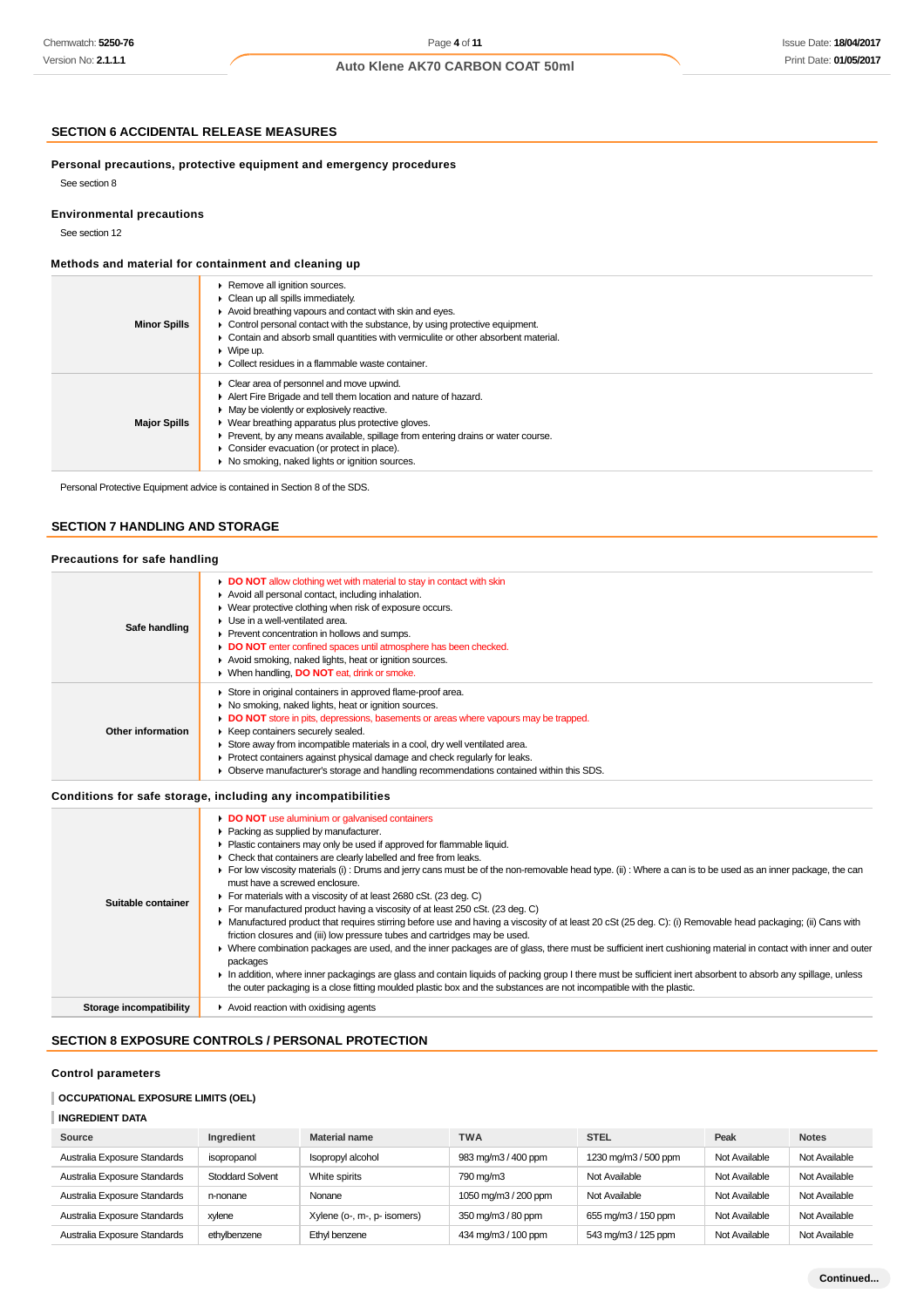## Issue Date: **18/04/2017** Print Date: **01/05/2017**

# **Auto Klene AK70 CARBON COAT 50ml**

## **SECTION 6 ACCIDENTAL RELEASE MEASURES**

**Personal precautions, protective equipment and emergency procedures**

## **Environmental precautions**

See section 12

See section 8

## **Methods and material for containment and cleaning up**

| <b>Minor Spills</b> | Remove all ignition sources.<br>$\triangleright$ Clean up all spills immediately.<br>Avoid breathing vapours and contact with skin and eyes.<br>$\triangleright$ Control personal contact with the substance, by using protective equipment.<br>• Contain and absorb small quantities with vermiculite or other absorbent material.<br>$\blacktriangleright$ Wipe up.<br>• Collect residues in a flammable waste container. |
|---------------------|-----------------------------------------------------------------------------------------------------------------------------------------------------------------------------------------------------------------------------------------------------------------------------------------------------------------------------------------------------------------------------------------------------------------------------|
| <b>Major Spills</b> | • Clear area of personnel and move upwind.<br>Alert Fire Brigade and tell them location and nature of hazard.<br>• May be violently or explosively reactive.<br>• Wear breathing apparatus plus protective gloves.<br>▶ Prevent, by any means available, spillage from entering drains or water course.<br>• Consider evacuation (or protect in place).<br>• No smoking, naked lights or ignition sources.                  |

Personal Protective Equipment advice is contained in Section 8 of the SDS.

## **SECTION 7 HANDLING AND STORAGE**

# **Precautions for safe handling**

| Safe handling     | DO NOT allow clothing wet with material to stay in contact with skin<br>Avoid all personal contact, including inhalation.<br>• Wear protective clothing when risk of exposure occurs.<br>$\blacktriangleright$ Use in a well-ventilated area.<br>▶ Prevent concentration in hollows and sumps.<br>DO NOT enter confined spaces until atmosphere has been checked.<br>Avoid smoking, naked lights, heat or ignition sources.<br>▶ When handling, DO NOT eat, drink or smoke.                              |
|-------------------|----------------------------------------------------------------------------------------------------------------------------------------------------------------------------------------------------------------------------------------------------------------------------------------------------------------------------------------------------------------------------------------------------------------------------------------------------------------------------------------------------------|
| Other information | Store in original containers in approved flame-proof area.<br>• No smoking, naked lights, heat or ignition sources.<br>DO NOT store in pits, depressions, basements or areas where vapours may be trapped.<br>▶ Keep containers securely sealed.<br>Store away from incompatible materials in a cool, dry well ventilated area.<br>• Protect containers against physical damage and check regularly for leaks.<br>Observe manufacturer's storage and handling recommendations contained within this SDS. |

## **Conditions for safe storage, including any incompatibilities**

| DO NOT use aluminium or galvanised containers<br>Packing as supplied by manufacturer.<br>• Plastic containers may only be used if approved for flammable liquid.<br>• Check that containers are clearly labelled and free from leaks.<br>For low viscosity materials (i): Drums and jerry cans must be of the non-removable head type. (ii): Where a can is to be used as an inner package, the can<br>must have a screwed enclosure.<br>For materials with a viscosity of at least 2680 cSt. (23 deg. C)<br>Suitable container<br>For manufactured product having a viscosity of at least 250 cSt. (23 deg. C)<br>▶ Manufactured product that requires stirring before use and having a viscosity of at least 20 cSt (25 deg. C): (i) Removable head packaging; (ii) Cans with<br>friction closures and (iii) low pressure tubes and cartridges may be used.<br>▶ Where combination packages are used, and the inner packages are of glass, there must be sufficient inert cushioning material in contact with inner and outer<br>packages<br>In addition, where inner packagings are glass and contain liquids of packing group I there must be sufficient inert absorbent to absorb any spillage, unless<br>the outer packaging is a close fitting moulded plastic box and the substances are not incompatible with the plastic. |  |
|-------------------------------------------------------------------------------------------------------------------------------------------------------------------------------------------------------------------------------------------------------------------------------------------------------------------------------------------------------------------------------------------------------------------------------------------------------------------------------------------------------------------------------------------------------------------------------------------------------------------------------------------------------------------------------------------------------------------------------------------------------------------------------------------------------------------------------------------------------------------------------------------------------------------------------------------------------------------------------------------------------------------------------------------------------------------------------------------------------------------------------------------------------------------------------------------------------------------------------------------------------------------------------------------------------------------------------------|--|
| $\blacktriangleright$ Avoid reaction with oxidising agents<br>Storage incompatibility                                                                                                                                                                                                                                                                                                                                                                                                                                                                                                                                                                                                                                                                                                                                                                                                                                                                                                                                                                                                                                                                                                                                                                                                                                               |  |

## **SECTION 8 EXPOSURE CONTROLS / PERSONAL PROTECTION**

## **Control parameters**

# **OCCUPATIONAL EXPOSURE LIMITS (OEL)**

# **INGREDIENT DATA**

| Source                       | Ingredient              | <b>Material name</b>        | <b>TWA</b>           | <b>STEL</b>          | Peak          | <b>Notes</b>  |
|------------------------------|-------------------------|-----------------------------|----------------------|----------------------|---------------|---------------|
| Australia Exposure Standards | isopropanol             | Isopropyl alcohol           | 983 mg/m3 / 400 ppm  | 1230 mg/m3 / 500 ppm | Not Available | Not Available |
| Australia Exposure Standards | <b>Stoddard Solvent</b> | White spirits               | 790 mg/m3            | Not Available        | Not Available | Not Available |
| Australia Exposure Standards | n-nonane                | Nonane                      | 1050 mg/m3 / 200 ppm | Not Available        | Not Available | Not Available |
| Australia Exposure Standards | xvlene                  | Xylene (o-, m-, p- isomers) | 350 mg/m3 / 80 ppm   | 655 mg/m3 / 150 ppm  | Not Available | Not Available |
| Australia Exposure Standards | ethvlbenzene            | Ethyl benzene               | 434 mg/m3 / 100 ppm  | 543 mg/m3 / 125 ppm  | Not Available | Not Available |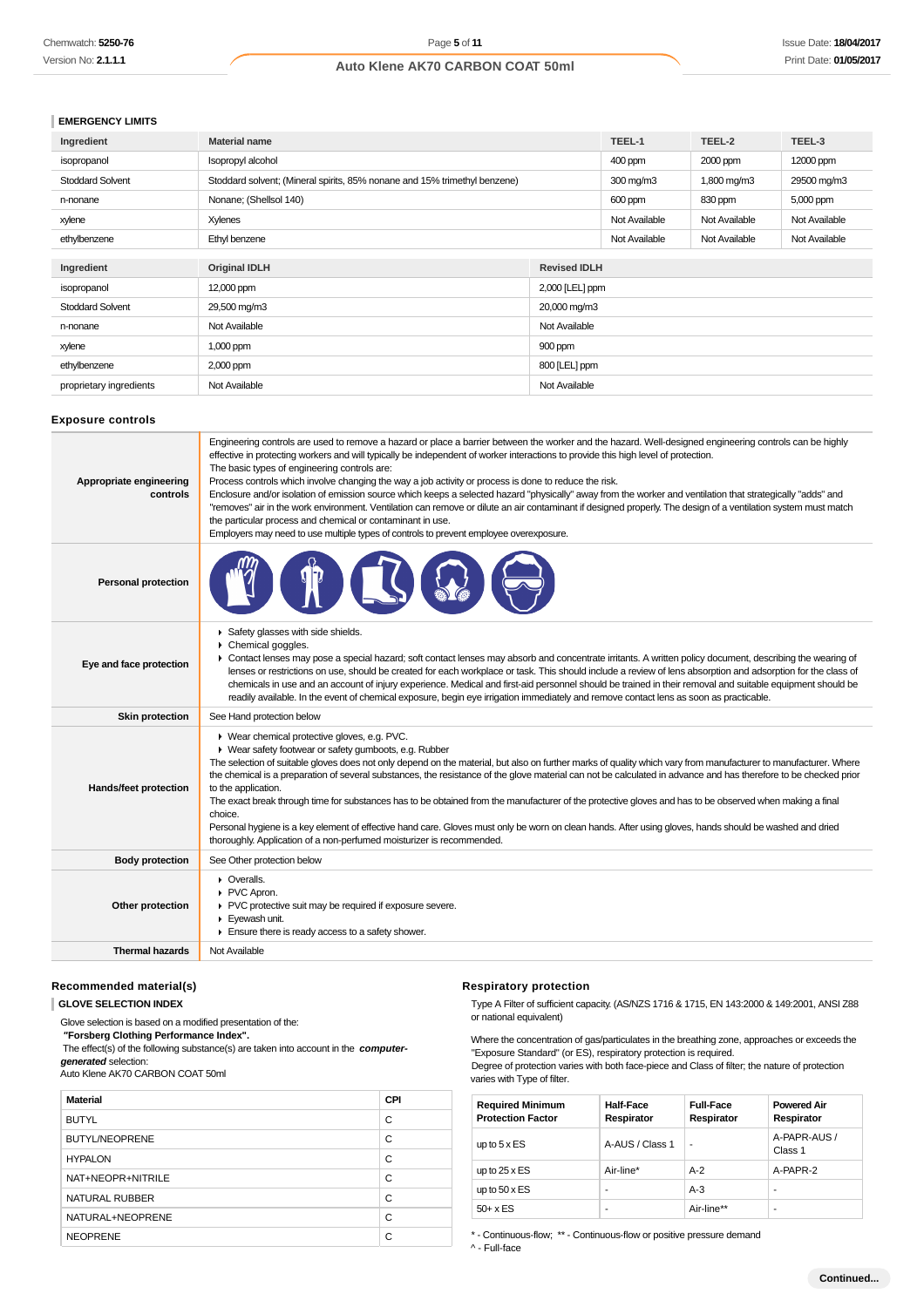## **EMERGENCY LIMITS**

| Ingredient              | <b>Material name</b>                                                      |                     | TEEL-1        | TEEL-2        | TEEL-3        |
|-------------------------|---------------------------------------------------------------------------|---------------------|---------------|---------------|---------------|
| isopropanol             | Isopropyl alcohol                                                         |                     | 400 ppm       | 2000 ppm      | 12000 ppm     |
| <b>Stoddard Solvent</b> | Stoddard solvent; (Mineral spirits, 85% nonane and 15% trimethyl benzene) |                     | 300 mg/m3     | 1,800 mg/m3   | 29500 mg/m3   |
| n-nonane                | Nonane; (Shellsol 140)                                                    |                     | 600 ppm       | 830 ppm       | 5,000 ppm     |
| xylene                  | <b>Xylenes</b>                                                            |                     | Not Available | Not Available | Not Available |
| ethylbenzene            | Ethyl benzene                                                             |                     | Not Available | Not Available | Not Available |
|                         |                                                                           |                     |               |               |               |
| Ingredient              | <b>Original IDLH</b>                                                      | <b>Revised IDLH</b> |               |               |               |
| isopropanol             | 12,000 ppm                                                                | 2,000 [LEL] ppm     |               |               |               |
| <b>Stoddard Solvent</b> | 29,500 mg/m3<br>20,000 mg/m3                                              |                     |               |               |               |
| n-nonane                | Not Available<br>Not Available                                            |                     |               |               |               |
| xylene                  | 1,000 ppm<br>900 ppm                                                      |                     |               |               |               |
| ethylbenzene            | 800 [LEL] ppm<br>2,000 ppm                                                |                     |               |               |               |
| proprietary ingredients | Not Available                                                             | Not Available       |               |               |               |

## **Exposure controls**

| Appropriate engineering<br>controls | Engineering controls are used to remove a hazard or place a barrier between the worker and the hazard. Well-designed engineering controls can be highly<br>effective in protecting workers and will typically be independent of worker interactions to provide this high level of protection.<br>The basic types of engineering controls are:<br>Process controls which involve changing the way a job activity or process is done to reduce the risk.<br>Enclosure and/or isolation of emission source which keeps a selected hazard "physically" away from the worker and ventilation that strategically "adds" and<br>"removes" air in the work environment. Ventilation can remove or dilute an air contaminant if designed properly. The design of a ventilation system must match<br>the particular process and chemical or contaminant in use.<br>Employers may need to use multiple types of controls to prevent employee overexposure. |
|-------------------------------------|-------------------------------------------------------------------------------------------------------------------------------------------------------------------------------------------------------------------------------------------------------------------------------------------------------------------------------------------------------------------------------------------------------------------------------------------------------------------------------------------------------------------------------------------------------------------------------------------------------------------------------------------------------------------------------------------------------------------------------------------------------------------------------------------------------------------------------------------------------------------------------------------------------------------------------------------------|
| <b>Personal protection</b>          |                                                                                                                                                                                                                                                                                                                                                                                                                                                                                                                                                                                                                                                                                                                                                                                                                                                                                                                                                 |
| Eye and face protection             | Safety glasses with side shields.<br>$\triangleright$ Chemical goggles.<br>• Contact lenses may pose a special hazard; soft contact lenses may absorb and concentrate irritants. A written policy document, describing the wearing of<br>lenses or restrictions on use, should be created for each workplace or task. This should include a review of lens absorption and adsorption for the class of<br>chemicals in use and an account of injury experience. Medical and first-aid personnel should be trained in their removal and suitable equipment should be<br>readily available. In the event of chemical exposure, begin eye irrigation immediately and remove contact lens as soon as practicable.                                                                                                                                                                                                                                    |
| <b>Skin protection</b>              | See Hand protection below                                                                                                                                                                                                                                                                                                                                                                                                                                                                                                                                                                                                                                                                                                                                                                                                                                                                                                                       |
| Hands/feet protection               | ▶ Wear chemical protective gloves, e.g. PVC.<br>• Wear safety footwear or safety gumboots, e.g. Rubber<br>The selection of suitable gloves does not only depend on the material, but also on further marks of quality which vary from manufacturer to manufacturer. Where<br>the chemical is a preparation of several substances, the resistance of the glove material can not be calculated in advance and has therefore to be checked prior<br>to the application.<br>The exact break through time for substances has to be obtained from the manufacturer of the protective gloves and has to be observed when making a final<br>choice.<br>Personal hygiene is a key element of effective hand care. Gloves must only be worn on clean hands. After using gloves, hands should be washed and dried<br>thoroughly. Application of a non-perfumed moisturizer is recommended.                                                                 |
| <b>Body protection</b>              | See Other protection below                                                                                                                                                                                                                                                                                                                                                                                                                                                                                                                                                                                                                                                                                                                                                                                                                                                                                                                      |
| Other protection                    | • Overalls.<br>PVC Apron.<br>PVC protective suit may be required if exposure severe.<br>Eyewash unit.<br>$\blacktriangleright$ Ensure there is ready access to a safety shower.                                                                                                                                                                                                                                                                                                                                                                                                                                                                                                                                                                                                                                                                                                                                                                 |
| <b>Thermal hazards</b>              | Not Available                                                                                                                                                                                                                                                                                                                                                                                                                                                                                                                                                                                                                                                                                                                                                                                                                                                                                                                                   |

#### **Recommended material(s)**

**GLOVE SELECTION INDEX**

Glove selection is based on a modified presentation of the:

 **"Forsberg Clothing Performance Index".**

 The effect(s) of the following substance(s) are taken into account in the **computergenerated** selection:

Auto Klene AK70 CARBON COAT 50ml

| <b>Material</b>       | <b>CPI</b> |
|-----------------------|------------|
| <b>BUTYL</b>          | С          |
| <b>BUTYL/NEOPRENE</b> | C          |
| <b>HYPALON</b>        | C          |
| NAT+NEOPR+NITRILE     | C          |
| NATURAL RUBBER        | С          |
| NATURAL+NEOPRENE      | C          |
| <b>NEOPRENE</b>       | C          |

#### **Respiratory protection**

Type A Filter of sufficient capacity. (AS/NZS 1716 & 1715, EN 143:2000 & 149:2001, ANSI Z88 or national equivalent)

Where the concentration of gas/particulates in the breathing zone, approaches or exceeds the "Exposure Standard" (or ES), respiratory protection is required.

Degree of protection varies with both face-piece and Class of filter; the nature of protection varies with Type of filter.

| <b>Required Minimum</b><br><b>Protection Factor</b> | <b>Half-Face</b><br>Respirator | <b>Full-Face</b><br>Respirator | <b>Powered Air</b><br>Respirator |
|-----------------------------------------------------|--------------------------------|--------------------------------|----------------------------------|
| up to $5 \times ES$                                 | A-AUS / Class 1                | ۰                              | A-PAPR-AUS /<br>Class 1          |
| up to $25 \times ES$                                | Air-line*                      | $A-2$                          | A-PAPR-2                         |
| up to $50 \times ES$                                | ۰                              | $A-3$                          | -                                |
| $50+ x ES$                                          | ۰                              | Air-line**                     | -                                |

\* - Continuous-flow; \*\* - Continuous-flow or positive pressure demand

^ - Full-face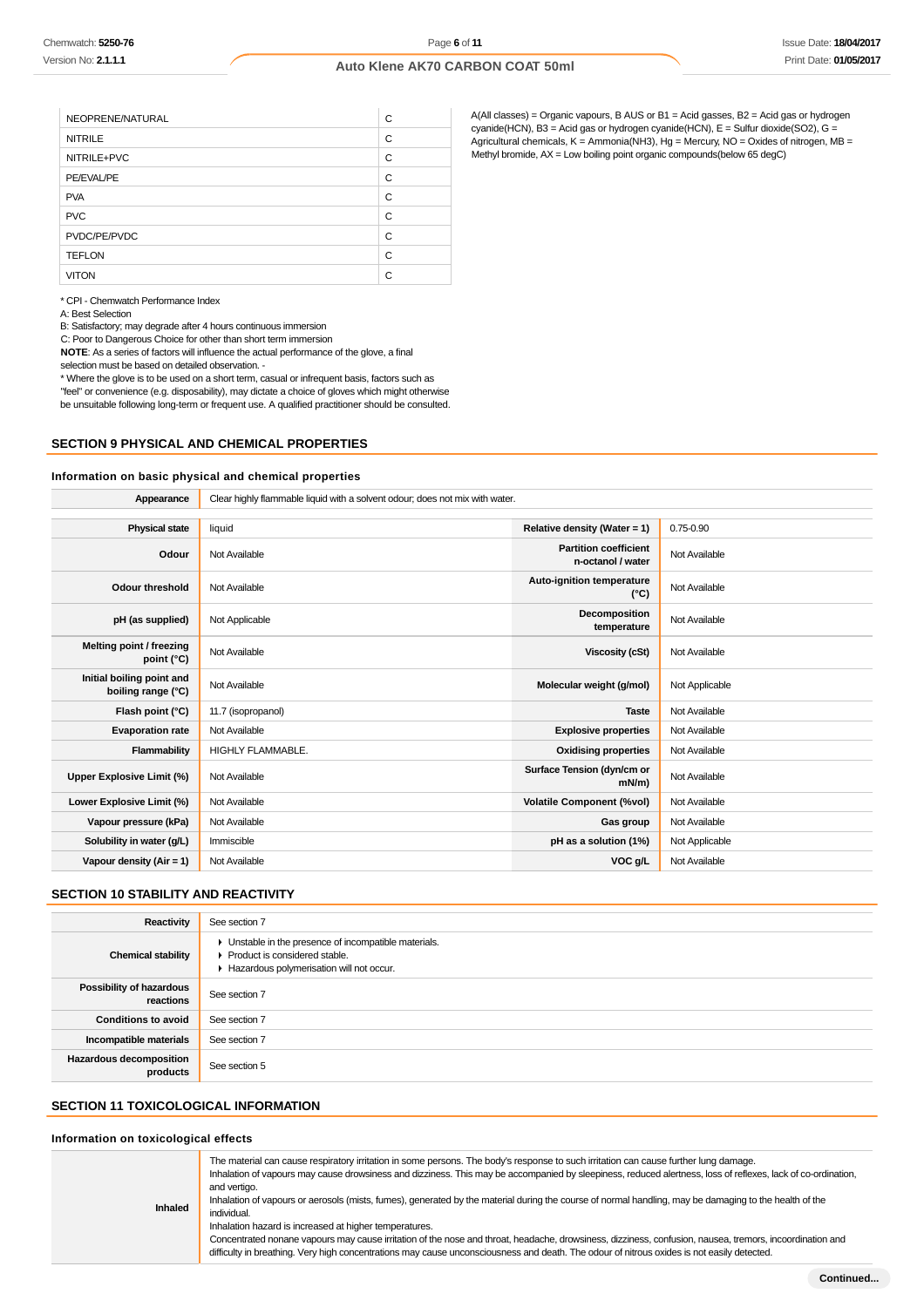| NEOPRENE/NATURAL | С |
|------------------|---|
| <b>NITRILE</b>   | C |
| NITRILE+PVC      | C |
| PE/EVAL/PE       | C |
| <b>PVA</b>       | C |
| <b>PVC</b>       | C |
| PVDC/PE/PVDC     | C |
| <b>TEFLON</b>    | C |
| <b>VITON</b>     | C |

A(All classes) = Organic vapours, B AUS or B1 = Acid gasses, B2 = Acid gas or hydrogen cyanide(HCN), B3 = Acid gas or hydrogen cyanide(HCN), E = Sulfur dioxide(SO2), G = Agricultural chemicals,  $K =$  Ammonia(NH3),  $Hg =$  Mercury, NO = Oxides of nitrogen, MB = Methyl bromide, AX = Low boiling point organic compounds(below 65 degC)

\* CPI - Chemwatch Performance Index

A: Best Selection

B: Satisfactory; may degrade after 4 hours continuous immersion

C: Poor to Dangerous Choice for other than short term immersion

**NOTE**: As a series of factors will influence the actual performance of the glove, a final selection must be based on detailed observation. -

\* Where the glove is to be used on a short term, casual or infrequent basis, factors such as "feel" or convenience (e.g. disposability), may dictate a choice of gloves which might otherwise be unsuitable following long-term or frequent use. A qualified practitioner should be consulted.

#### **SECTION 9 PHYSICAL AND CHEMICAL PROPERTIES**

#### **Information on basic physical and chemical properties**

| Appearance                                      | Clear highly flammable liquid with a solvent odour; does not mix with water. |                                                   |                |
|-------------------------------------------------|------------------------------------------------------------------------------|---------------------------------------------------|----------------|
|                                                 |                                                                              |                                                   |                |
| <b>Physical state</b>                           | liquid                                                                       | Relative density (Water = 1)                      | $0.75 - 0.90$  |
| Odour                                           | Not Available                                                                | <b>Partition coefficient</b><br>n-octanol / water | Not Available  |
| Odour threshold                                 | Not Available                                                                | Auto-ignition temperature<br>$(^{\circ}C)$        | Not Available  |
| pH (as supplied)                                | Not Applicable                                                               | Decomposition<br>temperature                      | Not Available  |
| Melting point / freezing<br>point $(^{\circ}C)$ | Not Available                                                                | <b>Viscosity (cSt)</b>                            | Not Available  |
| Initial boiling point and<br>boiling range (°C) | Not Available                                                                | Molecular weight (g/mol)                          | Not Applicable |
| Flash point (°C)                                | 11.7 (isopropanol)                                                           | <b>Taste</b>                                      | Not Available  |
| <b>Evaporation rate</b>                         | Not Available                                                                | <b>Explosive properties</b>                       | Not Available  |
| Flammability                                    | <b>HIGHLY FLAMMABLE.</b>                                                     | <b>Oxidising properties</b>                       | Not Available  |
| Upper Explosive Limit (%)                       | Not Available                                                                | Surface Tension (dyn/cm or<br>$mN/m$ )            | Not Available  |
| Lower Explosive Limit (%)                       | Not Available                                                                | <b>Volatile Component (%vol)</b>                  | Not Available  |
| Vapour pressure (kPa)                           | Not Available                                                                | Gas group                                         | Not Available  |
| Solubility in water (g/L)                       | Immiscible                                                                   | pH as a solution (1%)                             | Not Applicable |
| Vapour density ( $Air = 1$ )                    | Not Available                                                                | VOC g/L                                           | Not Available  |
|                                                 |                                                                              |                                                   |                |

## **SECTION 10 STABILITY AND REACTIVITY**

| Reactivity                            | See section 7                                                                                                                        |
|---------------------------------------|--------------------------------------------------------------------------------------------------------------------------------------|
| <b>Chemical stability</b>             | • Unstable in the presence of incompatible materials.<br>▶ Product is considered stable.<br>Hazardous polymerisation will not occur. |
| Possibility of hazardous<br>reactions | See section 7                                                                                                                        |
| <b>Conditions to avoid</b>            | See section 7                                                                                                                        |
| Incompatible materials                | See section 7                                                                                                                        |
| Hazardous decomposition<br>products   | See section 5                                                                                                                        |

## **SECTION 11 TOXICOLOGICAL INFORMATION**

#### **Information on toxicological effects**

**Inhaled** The material can cause respiratory irritation in some persons. The body's response to such irritation can cause further lung damage. Inhalation of vapours may cause drowsiness and dizziness. This may be accompanied by sleepiness, reduced alertness, loss of reflexes, lack of co-ordination, and vertigo. Inhalation of vapours or aerosols (mists, fumes), generated by the material during the course of normal handling, may be damaging to the health of the individual. Inhalation hazard is increased at higher temperatures. Concentrated nonane vapours may cause irritation of the nose and throat, headache, drowsiness, dizziness, confusion, nausea, tremors, incoordination and difficulty in breathing. Very high concentrations may cause unconsciousness and death. The odour of nitrous oxides is not easily detected.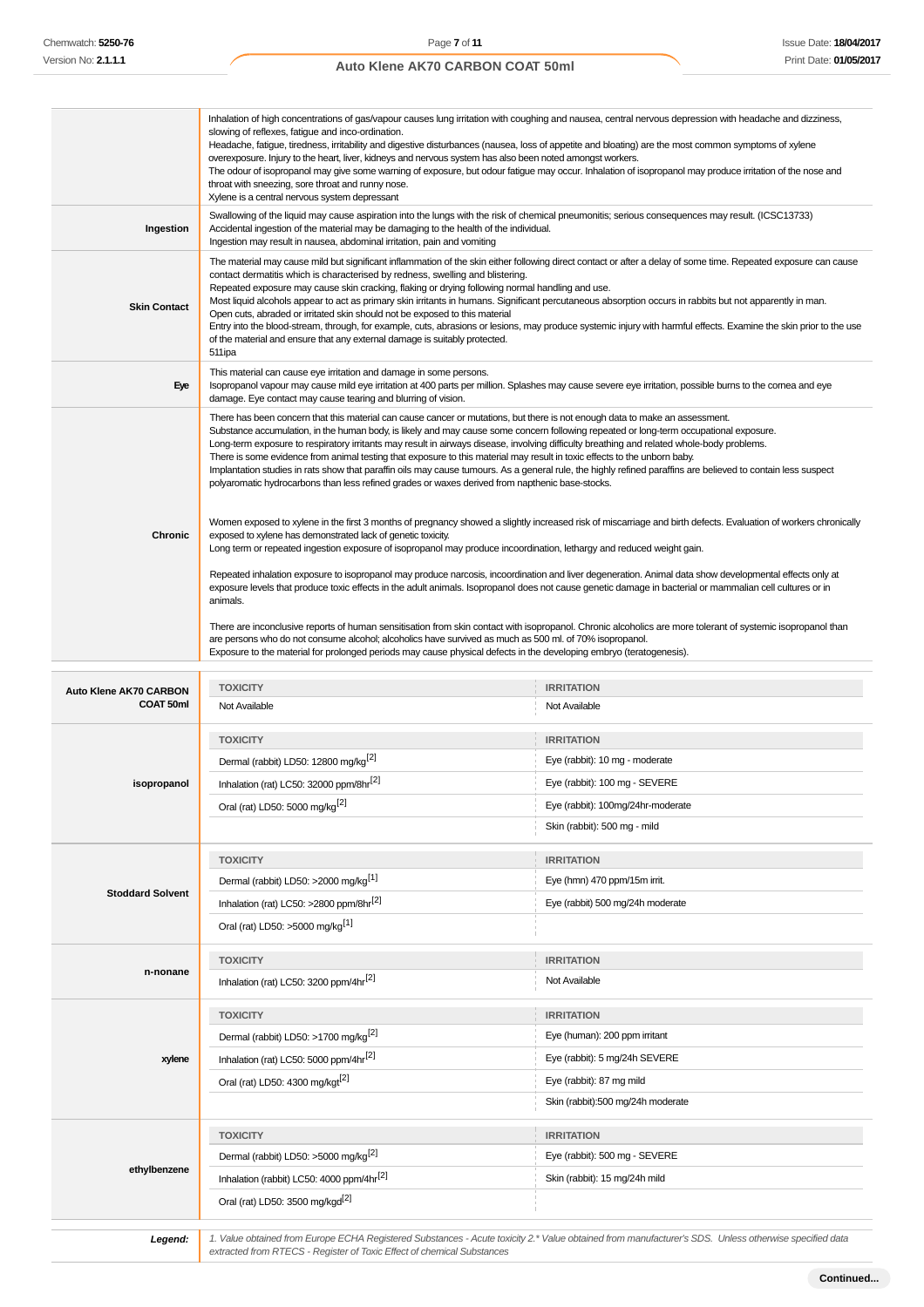|                                            | Inhalation of high concentrations of gas/vapour causes lung irritation with coughing and nausea, central nervous depression with headache and dizziness,<br>slowing of reflexes, fatigue and inco-ordination.<br>Headache, fatigue, tiredness, irritability and digestive disturbances (nausea, loss of appetite and bloating) are the most common symptoms of xylene<br>overexposure. Injury to the heart, liver, kidneys and nervous system has also been noted amongst workers.<br>The odour of isopropanol may give some warning of exposure, but odour fatigue may occur. Inhalation of isopropanol may produce irritation of the nose and<br>throat with sneezing, sore throat and runny nose.<br>Xylene is a central nervous system depressant                                                                                                         |                                                                                                                                                       |  |
|--------------------------------------------|---------------------------------------------------------------------------------------------------------------------------------------------------------------------------------------------------------------------------------------------------------------------------------------------------------------------------------------------------------------------------------------------------------------------------------------------------------------------------------------------------------------------------------------------------------------------------------------------------------------------------------------------------------------------------------------------------------------------------------------------------------------------------------------------------------------------------------------------------------------|-------------------------------------------------------------------------------------------------------------------------------------------------------|--|
| Ingestion                                  | Swallowing of the liquid may cause aspiration into the lungs with the risk of chemical pneumonitis; serious consequences may result. (ICSC13733)<br>Accidental ingestion of the material may be damaging to the health of the individual.<br>Ingestion may result in nausea, abdominal irritation, pain and vomiting                                                                                                                                                                                                                                                                                                                                                                                                                                                                                                                                          |                                                                                                                                                       |  |
| <b>Skin Contact</b>                        | The material may cause mild but significant inflammation of the skin either following direct contact or after a delay of some time. Repeated exposure can cause<br>contact dermatitis which is characterised by redness, swelling and blistering.<br>Repeated exposure may cause skin cracking, flaking or drying following normal handling and use.<br>Most liquid alcohols appear to act as primary skin irritants in humans. Significant percutaneous absorption occurs in rabbits but not apparently in man.<br>Open cuts, abraded or irritated skin should not be exposed to this material<br>Entry into the blood-stream, through, for example, cuts, abrasions or lesions, may produce systemic injury with harmful effects. Examine the skin prior to the use<br>of the material and ensure that any external damage is suitably protected.<br>511ipa |                                                                                                                                                       |  |
| Eye                                        | This material can cause eye irritation and damage in some persons.<br>Isopropanol vapour may cause mild eye irritation at 400 parts per million. Splashes may cause severe eye irritation, possible burns to the cornea and eye<br>damage. Eye contact may cause tearing and blurring of vision.                                                                                                                                                                                                                                                                                                                                                                                                                                                                                                                                                              |                                                                                                                                                       |  |
|                                            | There has been concern that this material can cause cancer or mutations, but there is not enough data to make an assessment.<br>Substance accumulation, in the human body, is likely and may cause some concern following repeated or long-term occupational exposure.<br>Long-term exposure to respiratory irritants may result in airways disease, involving difficulty breathing and related whole-body problems.<br>There is some evidence from animal testing that exposure to this material may result in toxic effects to the unborn baby.<br>Implantation studies in rats show that paraffin oils may cause tumours. As a general rule, the highly refined paraffins are believed to contain less suspect<br>polyaromatic hydrocarbons than less refined grades or waxes derived from napthenic base-stocks.                                          |                                                                                                                                                       |  |
| Chronic                                    | Women exposed to xylene in the first 3 months of pregnancy showed a slightly increased risk of miscarriage and birth defects. Evaluation of workers chronically<br>exposed to xylene has demonstrated lack of genetic toxicity.<br>Long term or repeated ingestion exposure of isopropanol may produce incoordination, lethargy and reduced weight gain.<br>Repeated inhalation exposure to isopropanol may produce narcosis, incoordination and liver degeneration. Animal data show developmental effects only at<br>exposure levels that produce toxic effects in the adult animals. Isopropanol does not cause genetic damage in bacterial or mammalian cell cultures or in<br>animals.                                                                                                                                                                   |                                                                                                                                                       |  |
|                                            | There are inconclusive reports of human sensitisation from skin contact with isopropanol. Chronic alcoholics are more tolerant of systemic isopropanol than<br>are persons who do not consume alcohol; alcoholics have survived as much as 500 ml. of 70% isopropanol.<br>Exposure to the material for prolonged periods may cause physical defects in the developing embryo (teratogenesis).                                                                                                                                                                                                                                                                                                                                                                                                                                                                 |                                                                                                                                                       |  |
|                                            |                                                                                                                                                                                                                                                                                                                                                                                                                                                                                                                                                                                                                                                                                                                                                                                                                                                               |                                                                                                                                                       |  |
| <b>Auto Klene AK70 CARBON</b><br>COAT 50ml | <b>TOXICITY</b><br>Not Available                                                                                                                                                                                                                                                                                                                                                                                                                                                                                                                                                                                                                                                                                                                                                                                                                              | <b>IRRITATION</b><br>Not Available                                                                                                                    |  |
|                                            | <b>TOXICITY</b>                                                                                                                                                                                                                                                                                                                                                                                                                                                                                                                                                                                                                                                                                                                                                                                                                                               | <b>IRRITATION</b>                                                                                                                                     |  |
|                                            | Dermal (rabbit) LD50: 12800 mg/kg <sup>[2]</sup>                                                                                                                                                                                                                                                                                                                                                                                                                                                                                                                                                                                                                                                                                                                                                                                                              | Eye (rabbit): 10 mg - moderate                                                                                                                        |  |
| isopropanol                                | Inhalation (rat) LC50: 32000 ppm/8hr <sup>[2]</sup>                                                                                                                                                                                                                                                                                                                                                                                                                                                                                                                                                                                                                                                                                                                                                                                                           | Eye (rabbit): 100 mg - SEVERE                                                                                                                         |  |
|                                            |                                                                                                                                                                                                                                                                                                                                                                                                                                                                                                                                                                                                                                                                                                                                                                                                                                                               | Eye (rabbit): 100mg/24hr-moderate                                                                                                                     |  |
|                                            | Oral (rat) LD50: 5000 mg/kg <sup>[2]</sup>                                                                                                                                                                                                                                                                                                                                                                                                                                                                                                                                                                                                                                                                                                                                                                                                                    | Skin (rabbit): 500 mg - mild                                                                                                                          |  |
|                                            | <b>TOXICITY</b>                                                                                                                                                                                                                                                                                                                                                                                                                                                                                                                                                                                                                                                                                                                                                                                                                                               | <b>IRRITATION</b>                                                                                                                                     |  |
|                                            | Dermal (rabbit) LD50: >2000 mg/kg <sup>[1]</sup>                                                                                                                                                                                                                                                                                                                                                                                                                                                                                                                                                                                                                                                                                                                                                                                                              | Eye (hmn) 470 ppm/15m irrit.                                                                                                                          |  |
| <b>Stoddard Solvent</b>                    | Inhalation (rat) LC50: >2800 ppm/8hr <sup>[2]</sup>                                                                                                                                                                                                                                                                                                                                                                                                                                                                                                                                                                                                                                                                                                                                                                                                           | Eye (rabbit) 500 mg/24h moderate                                                                                                                      |  |
|                                            | Oral (rat) LD50: >5000 mg/kg <sup>[1]</sup>                                                                                                                                                                                                                                                                                                                                                                                                                                                                                                                                                                                                                                                                                                                                                                                                                   |                                                                                                                                                       |  |
|                                            | <b>TOXICITY</b>                                                                                                                                                                                                                                                                                                                                                                                                                                                                                                                                                                                                                                                                                                                                                                                                                                               | <b>IRRITATION</b>                                                                                                                                     |  |
| n-nonane                                   | Inhalation (rat) LC50: 3200 ppm/4hr <sup>[2]</sup>                                                                                                                                                                                                                                                                                                                                                                                                                                                                                                                                                                                                                                                                                                                                                                                                            | Not Available                                                                                                                                         |  |
|                                            | <b>TOXICITY</b>                                                                                                                                                                                                                                                                                                                                                                                                                                                                                                                                                                                                                                                                                                                                                                                                                                               | <b>IRRITATION</b>                                                                                                                                     |  |
|                                            | Dermal (rabbit) LD50: >1700 mg/kg <sup>[2]</sup>                                                                                                                                                                                                                                                                                                                                                                                                                                                                                                                                                                                                                                                                                                                                                                                                              | Eye (human): 200 ppm irritant                                                                                                                         |  |
| xylene                                     | Inhalation (rat) LC50: 5000 ppm/4hr <sup>[2]</sup>                                                                                                                                                                                                                                                                                                                                                                                                                                                                                                                                                                                                                                                                                                                                                                                                            | Eye (rabbit): 5 mg/24h SEVERE                                                                                                                         |  |
|                                            | Oral (rat) LD50: 4300 mg/kgt <sup>[2]</sup>                                                                                                                                                                                                                                                                                                                                                                                                                                                                                                                                                                                                                                                                                                                                                                                                                   | Eye (rabbit): 87 mg mild                                                                                                                              |  |
|                                            |                                                                                                                                                                                                                                                                                                                                                                                                                                                                                                                                                                                                                                                                                                                                                                                                                                                               | Skin (rabbit):500 mg/24h moderate                                                                                                                     |  |
|                                            | <b>TOXICITY</b>                                                                                                                                                                                                                                                                                                                                                                                                                                                                                                                                                                                                                                                                                                                                                                                                                                               | <b>IRRITATION</b>                                                                                                                                     |  |
|                                            | Dermal (rabbit) LD50: >5000 mg/kg <sup>[2]</sup>                                                                                                                                                                                                                                                                                                                                                                                                                                                                                                                                                                                                                                                                                                                                                                                                              | Eye (rabbit): 500 mg - SEVERE                                                                                                                         |  |
| ethylbenzene                               | Inhalation (rabbit) LC50: 4000 ppm/4hr <sup>[2]</sup>                                                                                                                                                                                                                                                                                                                                                                                                                                                                                                                                                                                                                                                                                                                                                                                                         | Skin (rabbit): 15 mg/24h mild                                                                                                                         |  |
|                                            | Oral (rat) LD50: 3500 mg/kgd <sup>[2]</sup>                                                                                                                                                                                                                                                                                                                                                                                                                                                                                                                                                                                                                                                                                                                                                                                                                   |                                                                                                                                                       |  |
|                                            |                                                                                                                                                                                                                                                                                                                                                                                                                                                                                                                                                                                                                                                                                                                                                                                                                                                               |                                                                                                                                                       |  |
| Legend:                                    | extracted from RTECS - Register of Toxic Effect of chemical Substances                                                                                                                                                                                                                                                                                                                                                                                                                                                                                                                                                                                                                                                                                                                                                                                        | 1. Value obtained from Europe ECHA Registered Substances - Acute toxicity 2.* Value obtained from manufacturer's SDS. Unless otherwise specified data |  |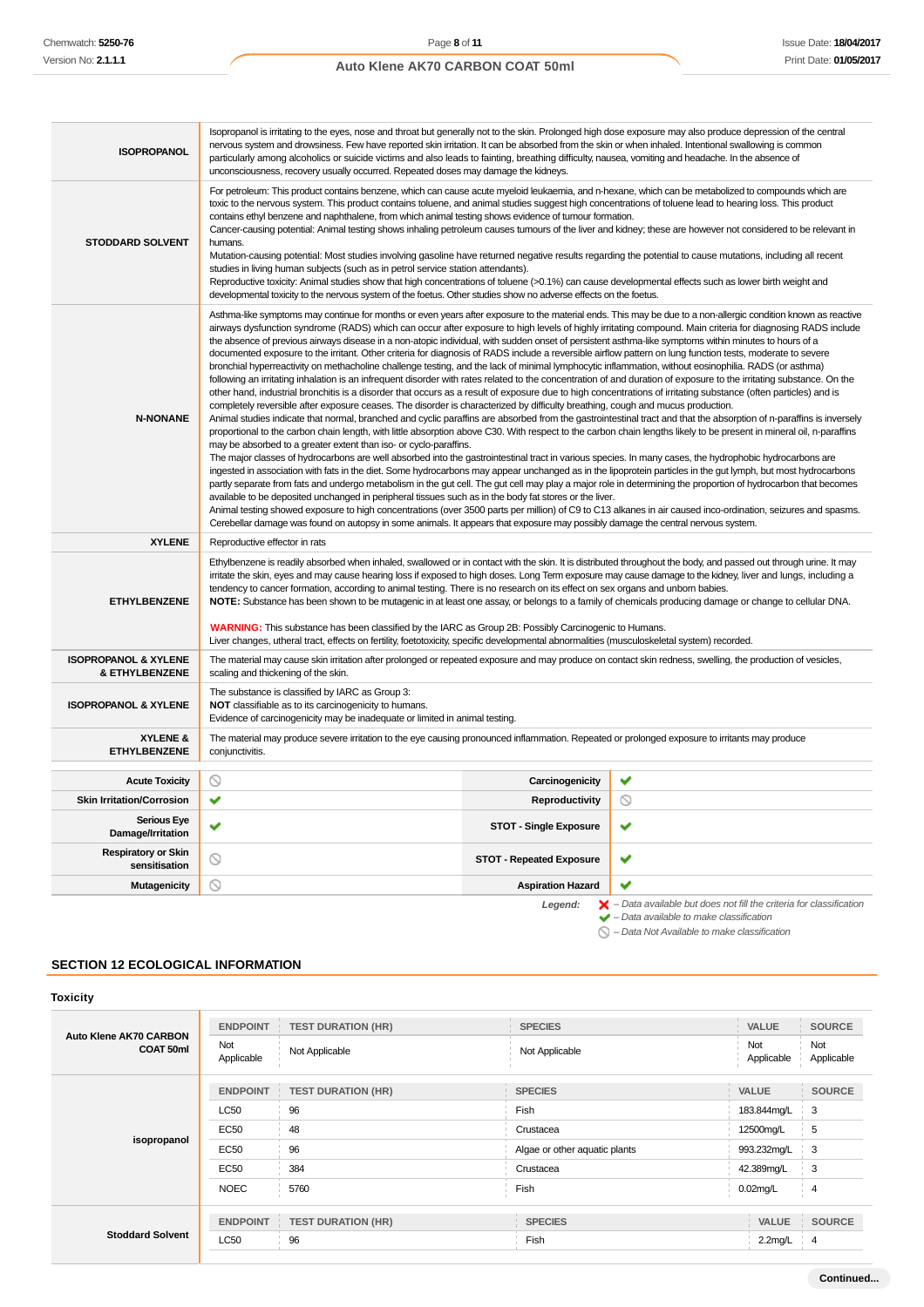| <b>ISOPROPANOL</b>                                           | Isopropanol is irritating to the eyes, nose and throat but generally not to the skin. Prolonged high dose exposure may also produce depression of the central<br>nervous system and drowsiness. Few have reported skin irritation. It can be absorbed from the skin or when inhaled. Intentional swallowing is common<br>particularly among alcoholics or suicide victims and also leads to fainting, breathing difficulty, nausea, vomiting and headache. In the absence of<br>unconsciousness, recovery usually occurred. Repeated doses may damage the kidneys.                                                                                                                                                                                                                                                                                                                                                                                                                                                                                                                                                                                                                                                                                                                                                                                                                                                                                                                                                                                                                                                                                                                                                                                                                                                                                                                                                                                                                                                                                                                                                                                                                                                                                                                                                                                                                                                                                                                                                                                                                                                       |                                 |   |
|--------------------------------------------------------------|--------------------------------------------------------------------------------------------------------------------------------------------------------------------------------------------------------------------------------------------------------------------------------------------------------------------------------------------------------------------------------------------------------------------------------------------------------------------------------------------------------------------------------------------------------------------------------------------------------------------------------------------------------------------------------------------------------------------------------------------------------------------------------------------------------------------------------------------------------------------------------------------------------------------------------------------------------------------------------------------------------------------------------------------------------------------------------------------------------------------------------------------------------------------------------------------------------------------------------------------------------------------------------------------------------------------------------------------------------------------------------------------------------------------------------------------------------------------------------------------------------------------------------------------------------------------------------------------------------------------------------------------------------------------------------------------------------------------------------------------------------------------------------------------------------------------------------------------------------------------------------------------------------------------------------------------------------------------------------------------------------------------------------------------------------------------------------------------------------------------------------------------------------------------------------------------------------------------------------------------------------------------------------------------------------------------------------------------------------------------------------------------------------------------------------------------------------------------------------------------------------------------------------------------------------------------------------------------------------------------------|---------------------------------|---|
| <b>STODDARD SOLVENT</b>                                      | For petroleum: This product contains benzene, which can cause acute myeloid leukaemia, and n-hexane, which can be metabolized to compounds which are<br>toxic to the nervous system. This product contains toluene, and animal studies suggest high concentrations of toluene lead to hearing loss. This product<br>contains ethyl benzene and naphthalene, from which animal testing shows evidence of tumour formation.<br>Cancer-causing potential: Animal testing shows inhaling petroleum causes tumours of the liver and kidney; these are however not considered to be relevant in<br>humans.<br>Mutation-causing potential: Most studies involving gasoline have returned negative results regarding the potential to cause mutations, including all recent<br>studies in living human subjects (such as in petrol service station attendants).<br>Reproductive toxicity: Animal studies show that high concentrations of toluene (>0.1%) can cause developmental effects such as lower birth weight and<br>developmental toxicity to the nervous system of the foetus. Other studies show no adverse effects on the foetus.                                                                                                                                                                                                                                                                                                                                                                                                                                                                                                                                                                                                                                                                                                                                                                                                                                                                                                                                                                                                                                                                                                                                                                                                                                                                                                                                                                                                                                                                                     |                                 |   |
| <b>N-NONANE</b>                                              | Asthma-like symptoms may continue for months or even years after exposure to the material ends. This may be due to a non-allergic condition known as reactive<br>airways dysfunction syndrome (RADS) which can occur after exposure to high levels of highly irritating compound. Main criteria for diagnosing RADS include<br>the absence of previous airways disease in a non-atopic individual, with sudden onset of persistent asthma-like symptoms within minutes to hours of a<br>documented exposure to the irritant. Other criteria for diagnosis of RADS include a reversible airflow pattern on lung function tests, moderate to severe<br>bronchial hyperreactivity on methacholine challenge testing, and the lack of minimal lymphocytic inflammation, without eosinophilia. RADS (or asthma)<br>following an irritating inhalation is an infrequent disorder with rates related to the concentration of and duration of exposure to the irritating substance. On the<br>other hand, industrial bronchitis is a disorder that occurs as a result of exposure due to high concentrations of irritating substance (often particles) and is<br>completely reversible after exposure ceases. The disorder is characterized by difficulty breathing, cough and mucus production.<br>Animal studies indicate that normal, branched and cyclic paraffins are absorbed from the gastrointestinal tract and that the absorption of n-paraffins is inversely<br>proportional to the carbon chain length, with little absorption above C30. With respect to the carbon chain lengths likely to be present in mineral oil, n-paraffins<br>may be absorbed to a greater extent than iso- or cyclo-paraffins.<br>The major classes of hydrocarbons are well absorbed into the gastrointestinal tract in various species. In many cases, the hydrophobic hydrocarbons are<br>ingested in association with fats in the diet. Some hydrocarbons may appear unchanged as in the lipoprotein particles in the gut lymph, but most hydrocarbons<br>partly separate from fats and undergo metabolism in the gut cell. The gut cell may play a major role in determining the proportion of hydrocarbon that becomes<br>available to be deposited unchanged in peripheral tissues such as in the body fat stores or the liver.<br>Animal testing showed exposure to high concentrations (over 3500 parts per million) of C9 to C13 alkanes in air caused inco-ordination, seizures and spasms.<br>Cerebellar damage was found on autopsy in some animals. It appears that exposure may possibly damage the central nervous system. |                                 |   |
| <b>XYLENE</b>                                                | Reproductive effector in rats                                                                                                                                                                                                                                                                                                                                                                                                                                                                                                                                                                                                                                                                                                                                                                                                                                                                                                                                                                                                                                                                                                                                                                                                                                                                                                                                                                                                                                                                                                                                                                                                                                                                                                                                                                                                                                                                                                                                                                                                                                                                                                                                                                                                                                                                                                                                                                                                                                                                                                                                                                                            |                                 |   |
| <b>ETHYLBENZENE</b>                                          | Ethylbenzene is readily absorbed when inhaled, swallowed or in contact with the skin. It is distributed throughout the body, and passed out through urine. It may<br>irritate the skin, eyes and may cause hearing loss if exposed to high doses. Long Term exposure may cause damage to the kidney, liver and lungs, including a<br>tendency to cancer formation, according to animal testing. There is no research on its effect on sex organs and unborn babies.<br>NOTE: Substance has been shown to be mutagenic in at least one assay, or belongs to a family of chemicals producing damage or change to cellular DNA.<br><b>WARNING:</b> This substance has been classified by the IARC as Group 2B: Possibly Carcinogenic to Humans.<br>Liver changes, utheral tract, effects on fertility, foetotoxicity, specific developmental abnormalities (musculoskeletal system) recorded.                                                                                                                                                                                                                                                                                                                                                                                                                                                                                                                                                                                                                                                                                                                                                                                                                                                                                                                                                                                                                                                                                                                                                                                                                                                                                                                                                                                                                                                                                                                                                                                                                                                                                                                               |                                 |   |
| <b>ISOPROPANOL &amp; XYLENE</b><br><b>&amp; ETHYLBENZENE</b> | The material may cause skin irritation after prolonged or repeated exposure and may produce on contact skin redness, swelling, the production of vesicles,<br>scaling and thickening of the skin.                                                                                                                                                                                                                                                                                                                                                                                                                                                                                                                                                                                                                                                                                                                                                                                                                                                                                                                                                                                                                                                                                                                                                                                                                                                                                                                                                                                                                                                                                                                                                                                                                                                                                                                                                                                                                                                                                                                                                                                                                                                                                                                                                                                                                                                                                                                                                                                                                        |                                 |   |
| <b>ISOPROPANOL &amp; XYLENE</b>                              | The substance is classified by IARC as Group 3:<br>NOT classifiable as to its carcinogenicity to humans.<br>Evidence of carcinogenicity may be inadequate or limited in animal testing.                                                                                                                                                                                                                                                                                                                                                                                                                                                                                                                                                                                                                                                                                                                                                                                                                                                                                                                                                                                                                                                                                                                                                                                                                                                                                                                                                                                                                                                                                                                                                                                                                                                                                                                                                                                                                                                                                                                                                                                                                                                                                                                                                                                                                                                                                                                                                                                                                                  |                                 |   |
| XYLENE &<br><b>ETHYLBENZENE</b>                              | The material may produce severe irritation to the eye causing pronounced inflammation. Repeated or prolonged exposure to irritants may produce<br>conjunctivitis.                                                                                                                                                                                                                                                                                                                                                                                                                                                                                                                                                                                                                                                                                                                                                                                                                                                                                                                                                                                                                                                                                                                                                                                                                                                                                                                                                                                                                                                                                                                                                                                                                                                                                                                                                                                                                                                                                                                                                                                                                                                                                                                                                                                                                                                                                                                                                                                                                                                        |                                 |   |
| <b>Acute Toxicity</b>                                        | ல                                                                                                                                                                                                                                                                                                                                                                                                                                                                                                                                                                                                                                                                                                                                                                                                                                                                                                                                                                                                                                                                                                                                                                                                                                                                                                                                                                                                                                                                                                                                                                                                                                                                                                                                                                                                                                                                                                                                                                                                                                                                                                                                                                                                                                                                                                                                                                                                                                                                                                                                                                                                                        | Carcinogenicity                 | ✔ |
| <b>Skin Irritation/Corrosion</b>                             | ✔                                                                                                                                                                                                                                                                                                                                                                                                                                                                                                                                                                                                                                                                                                                                                                                                                                                                                                                                                                                                                                                                                                                                                                                                                                                                                                                                                                                                                                                                                                                                                                                                                                                                                                                                                                                                                                                                                                                                                                                                                                                                                                                                                                                                                                                                                                                                                                                                                                                                                                                                                                                                                        | <b>Reproductivity</b>           | ல |
| <b>Serious Eye</b><br>Damage/Irritation                      | ✔                                                                                                                                                                                                                                                                                                                                                                                                                                                                                                                                                                                                                                                                                                                                                                                                                                                                                                                                                                                                                                                                                                                                                                                                                                                                                                                                                                                                                                                                                                                                                                                                                                                                                                                                                                                                                                                                                                                                                                                                                                                                                                                                                                                                                                                                                                                                                                                                                                                                                                                                                                                                                        | <b>STOT - Single Exposure</b>   | ✔ |
| <b>Respiratory or Skin</b><br>sensitisation                  | ◎                                                                                                                                                                                                                                                                                                                                                                                                                                                                                                                                                                                                                                                                                                                                                                                                                                                                                                                                                                                                                                                                                                                                                                                                                                                                                                                                                                                                                                                                                                                                                                                                                                                                                                                                                                                                                                                                                                                                                                                                                                                                                                                                                                                                                                                                                                                                                                                                                                                                                                                                                                                                                        | <b>STOT - Repeated Exposure</b> | ✔ |
| Mutagenicity                                                 | ◎<br>✔<br><b>Aspiration Hazard</b>                                                                                                                                                                                                                                                                                                                                                                                                                                                                                                                                                                                                                                                                                                                                                                                                                                                                                                                                                                                                                                                                                                                                                                                                                                                                                                                                                                                                                                                                                                                                                                                                                                                                                                                                                                                                                                                                                                                                                                                                                                                                                                                                                                                                                                                                                                                                                                                                                                                                                                                                                                                       |                                 |   |

Legend:  $\blacktriangleright$  - Data available but does not fill the criteria for classification<br>  $\blacktriangleright$  - Data available to make classification

 $\bigcirc$  – Data Not Available to make classification

# **SECTION 12 ECOLOGICAL INFORMATION**

| <b>Toxicity</b>                            |                   |                           |                               |                     |                           |
|--------------------------------------------|-------------------|---------------------------|-------------------------------|---------------------|---------------------------|
|                                            | <b>ENDPOINT</b>   | <b>TEST DURATION (HR)</b> | <b>SPECIES</b>                | VALUE               | <b>SOURCE</b>             |
| <b>Auto Klene AK70 CARBON</b><br>COAT 50ml | Not<br>Applicable | Not Applicable            | Not Applicable                | Not<br>Applicable   | Not<br>Applicable         |
|                                            | <b>ENDPOINT</b>   | <b>TEST DURATION (HR)</b> | <b>SPECIES</b>                | VALUE               | <b>SOURCE</b>             |
|                                            | <b>LC50</b>       | 96                        | Fish                          | 183.844mg/L         | 3                         |
|                                            | <b>EC50</b>       | 48                        | Crustacea                     | 12500mg/L           | 5                         |
| isopropanol                                | <b>EC50</b>       | 96                        | Algae or other aquatic plants | 993.232mg/L         | 3                         |
|                                            | <b>EC50</b>       | 384                       | Crustacea                     | 42.389mg/L          | 3                         |
|                                            | <b>NOEC</b>       | 5760                      | Fish                          | $0.02$ mg/L         | 4                         |
| <b>Stoddard Solvent</b>                    | <b>ENDPOINT</b>   | <b>TEST DURATION (HR)</b> | <b>SPECIES</b>                | VALUE               | <b>SOURCE</b><br>$\sim 1$ |
|                                            | <b>LC50</b>       | 96                        | Fish                          | $2.2 \text{mg/L}$ 4 |                           |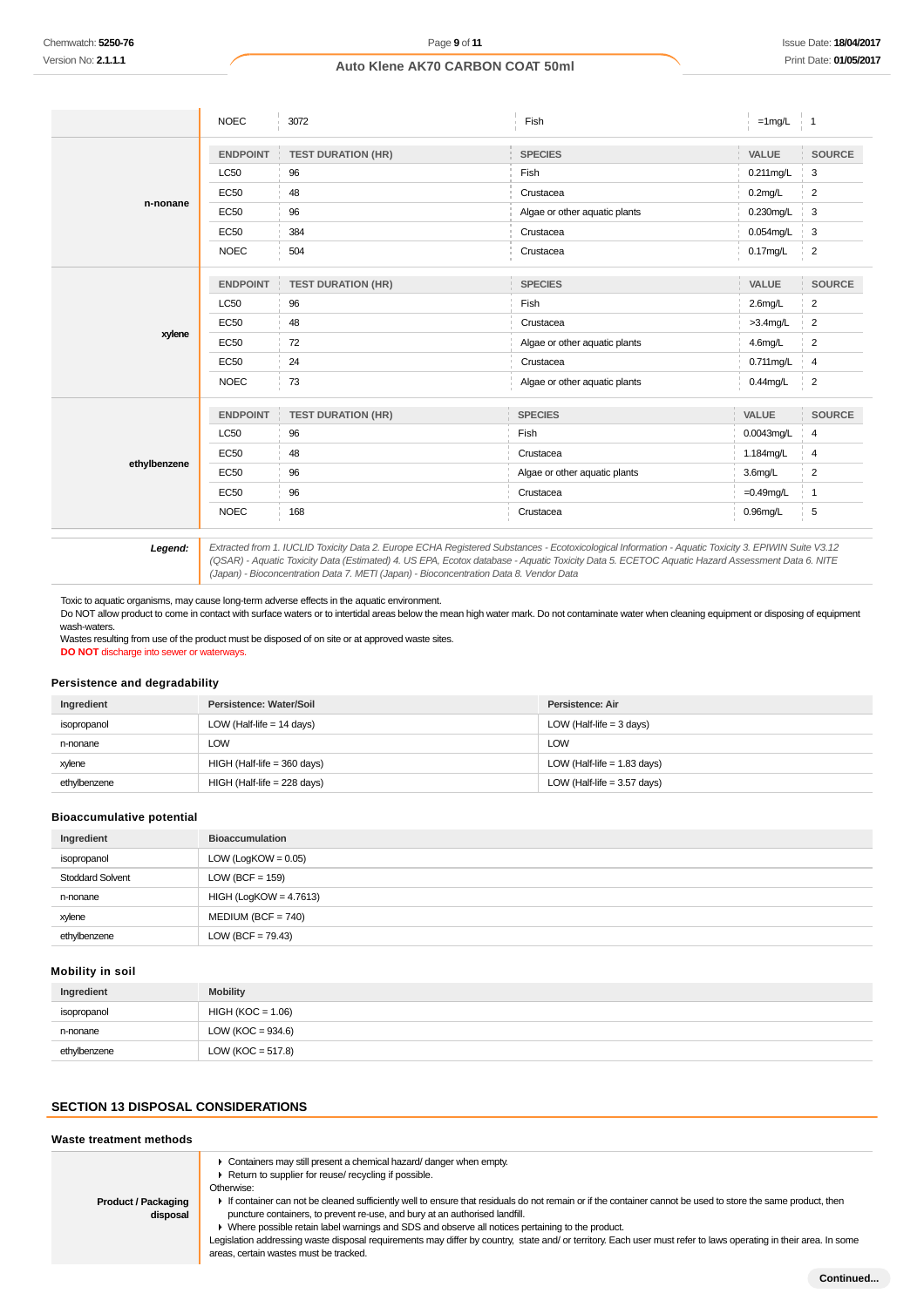|              | <b>NOEC</b>     | 3072                                        | Fish                          | $=1$ mg/L    | $\overline{1}$ |
|--------------|-----------------|---------------------------------------------|-------------------------------|--------------|----------------|
|              | <b>ENDPOINT</b> | <b>TEST DURATION (HR)</b>                   | <b>SPECIES</b>                | VALUE        | <b>SOURCE</b>  |
|              | <b>LC50</b>     | 96                                          | Fish                          | 0.211 mg/L   | 3              |
|              | <b>EC50</b>     | 48                                          | Crustacea                     | $0.2$ mg/L   | $\overline{c}$ |
| n-nonane     | <b>EC50</b>     | 96                                          | Algae or other aquatic plants | 0.230mg/L    | 3              |
|              | <b>EC50</b>     | 384                                         | Crustacea                     | 0.054mg/L    | 3              |
|              | <b>NOEC</b>     | 504                                         | Crustacea                     | $0.17$ mg/L  | $\overline{2}$ |
|              | <b>ENDPOINT</b> | <b>TEST DURATION (HR)</b>                   | <b>SPECIES</b>                | VALUE        | <b>SOURCE</b>  |
|              | <b>LC50</b>     | 96                                          | Fish                          | $2.6$ mg/L   | $\overline{2}$ |
|              | <b>EC50</b>     | 48                                          | Crustacea                     | $>3.4$ mg/L  | $\overline{2}$ |
| xylene       | <b>EC50</b>     | 72                                          | Algae or other aquatic plants | 4.6mg/L      | $\overline{2}$ |
|              | <b>EC50</b>     | 24                                          | Crustacea                     | 0.711mg/L    | 4              |
|              | <b>NOEC</b>     | 73                                          | Algae or other aquatic plants | $0.44$ mg/L  | $\overline{2}$ |
|              | <b>ENDPOINT</b> | <b>TEST DURATION (HR)</b><br>$\sim 10^{-1}$ | <b>SPECIES</b>                | VALUE        | SOURCE         |
|              | <b>LC50</b>     | 96                                          | Fish                          | 0.0043mg/L   | 4              |
|              | <b>EC50</b>     | 48                                          | Crustacea                     | 1.184mg/L    | 4              |
| ethylbenzene | <b>EC50</b>     | 96                                          | Algae or other aquatic plants | 3.6mg/L      | $\overline{2}$ |
|              | <b>EC50</b>     | 96                                          | Crustacea                     | $=0.49$ mg/L | $\overline{1}$ |
|              | <b>NOEC</b>     | 168                                         | Crustacea                     | $0.96$ mg/L  | 5              |
|              |                 |                                             |                               |              |                |

**Legend:** Extracted from 1. IUCLID Toxicity Data 2. Europe ECHA Registered Substances - Ecotoxicological Information - Aquatic Toxicity 3. EPIWIN Suite V3.12 (QSAR) - Aquatic Toxicity Data (Estimated) 4. US EPA, Ecotox database - Aquatic Toxicity Data 5. ECETOC Aquatic Hazard Assessment Data 6. NITE (Japan) - Bioconcentration Data 7. METI (Japan) - Bioconcentration Data 8. Vendor Data

Toxic to aquatic organisms, may cause long-term adverse effects in the aquatic environment.

Do NOT allow product to come in contact with surface waters or to intertidal areas below the mean high water mark. Do not contaminate water when cleaning equipment or disposing of equipment wash-waters.

Wastes resulting from use of the product must be disposed of on site or at approved waste sites. **DO NOT** discharge into sewer or waterways.

## **Persistence and degradability**

| Ingredient   | Persistence: Water/Soil       | Persistence: Air              |
|--------------|-------------------------------|-------------------------------|
| isopropanol  | LOW (Half-life $= 14$ days)   | LOW (Half-life $=$ 3 days)    |
| n-nonane     | LOW                           | LOW                           |
| xylene       | $HIGH$ (Half-life = 360 days) | LOW (Half-life $= 1.83$ days) |
| ethvlbenzene | $HIGH$ (Half-life = 228 days) | LOW (Half-life $= 3.57$ days) |

## **Bioaccumulative potential**

| Ingredient              | <b>Bioaccumulation</b>   |
|-------------------------|--------------------------|
| isopropanol             | LOW (LogKOW = $0.05$ )   |
| <b>Stoddard Solvent</b> | LOW (BCF = $159$ )       |
| n-nonane                | $HIGH (LogKOW = 4.7613)$ |
| xylene                  | $MEDIUM (BCF = 740)$     |
| ethylbenzene            | $LOW (BCF = 79.43)$      |

#### **Mobility in soil**

| Ingredient   | <b>Mobility</b>      |
|--------------|----------------------|
| isopropanol  | $HIGH (KOC = 1.06)$  |
| n-nonane     | LOW (KOC = $934.6$ ) |
| ethylbenzene | LOW (KOC = $517.8$ ) |

### **SECTION 13 DISPOSAL CONSIDERATIONS**

#### **Waste treatment methods**

| <b>Product / Packaging</b><br>disposal | • Containers may still present a chemical hazard/danger when empty.<br>▶ Return to supplier for reuse/ recycling if possible.<br>Otherwise:<br>If container can not be cleaned sufficiently well to ensure that residuals do not remain or if the container cannot be used to store the same product, then<br>puncture containers, to prevent re-use, and bury at an authorised landfill.<br>► Where possible retain label warnings and SDS and observe all notices pertaining to the product.<br>Legislation addressing waste disposal requirements may differ by country, state and/or territory. Each user must refer to laws operating in their area. In some<br>areas, certain wastes must be tracked. |
|----------------------------------------|-------------------------------------------------------------------------------------------------------------------------------------------------------------------------------------------------------------------------------------------------------------------------------------------------------------------------------------------------------------------------------------------------------------------------------------------------------------------------------------------------------------------------------------------------------------------------------------------------------------------------------------------------------------------------------------------------------------|
|                                        |                                                                                                                                                                                                                                                                                                                                                                                                                                                                                                                                                                                                                                                                                                             |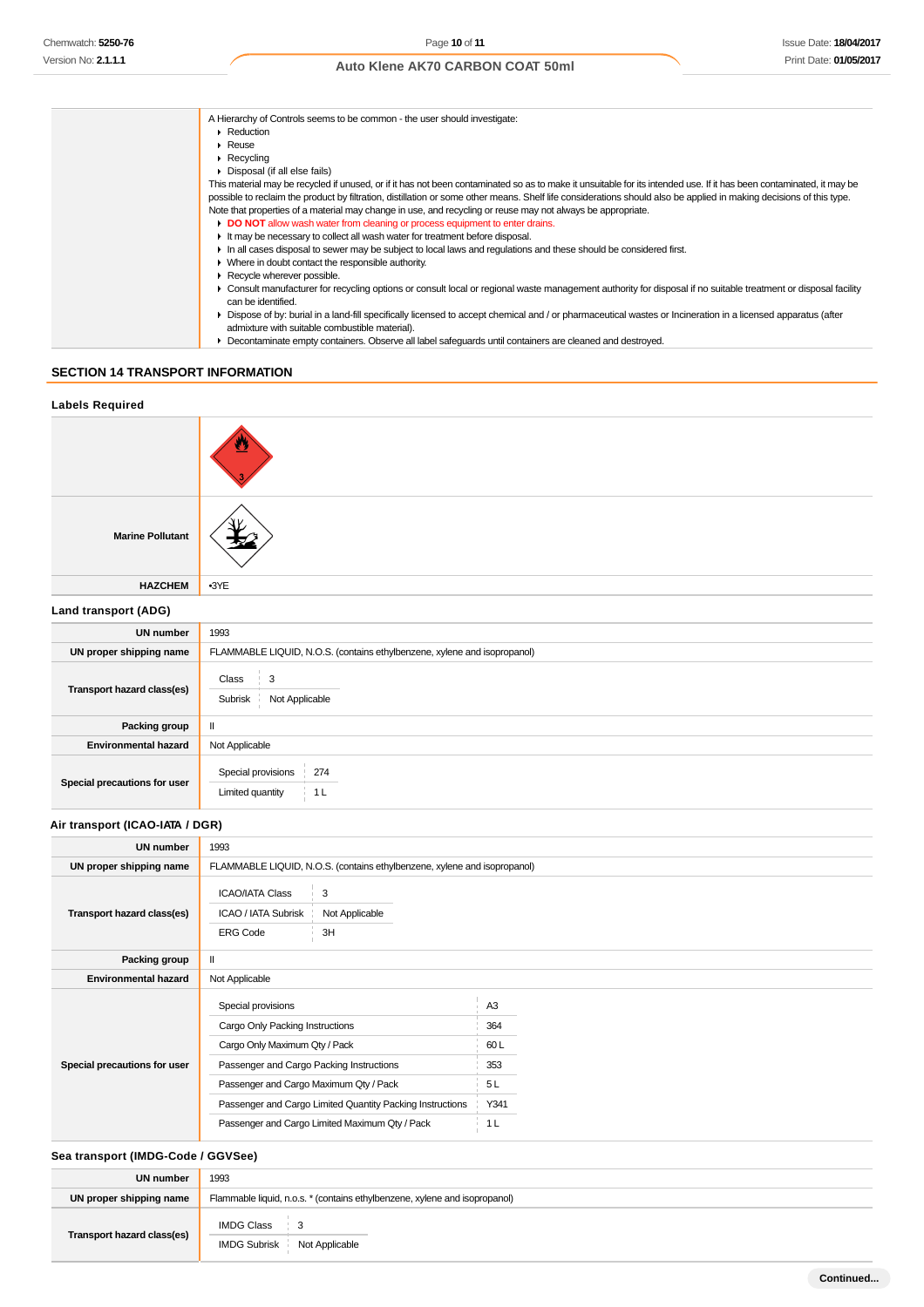| A Hierarchy of Controls seems to be common - the user should investigate:                                                                                                                                       |
|-----------------------------------------------------------------------------------------------------------------------------------------------------------------------------------------------------------------|
| $\blacktriangleright$ Reduction                                                                                                                                                                                 |
| $\blacktriangleright$ Reuse                                                                                                                                                                                     |
| $\triangleright$ Recycling                                                                                                                                                                                      |
| • Disposal (if all else fails)                                                                                                                                                                                  |
| This material may be recycled if unused, or if it has not been contaminated so as to make it unsuitable for its intended use. If it has been contaminated, it may be                                            |
| possible to reclaim the product by filtration, distillation or some other means. Shelf life considerations should also be applied in making decisions of this type.                                             |
| Note that properties of a material may change in use, and recycling or reuse may not always be appropriate.                                                                                                     |
| DO NOT allow wash water from cleaning or process equipment to enter drains.                                                                                                                                     |
| It may be necessary to collect all wash water for treatment before disposal.                                                                                                                                    |
| In all cases disposal to sewer may be subject to local laws and regulations and these should be considered first.                                                                                               |
| • Where in doubt contact the responsible authority.                                                                                                                                                             |
| Recycle wherever possible.                                                                                                                                                                                      |
| • Consult manufacturer for recycling options or consult local or regional waste management authority for disposal if no suitable treatment or disposal facility<br>can be identified.                           |
| ▶ Dispose of by: burial in a land-fill specifically licensed to accept chemical and / or pharmaceutical wastes or Incineration in a licensed apparatus (after<br>admixture with suitable combustible material). |
| Decontaminate empty containers. Observe all label safeguards until containers are cleaned and destroyed.                                                                                                        |

# **SECTION 14 TRANSPORT INFORMATION**

| <b>Labels Required</b>       |                                                                          |  |  |
|------------------------------|--------------------------------------------------------------------------|--|--|
|                              |                                                                          |  |  |
| <b>Marine Pollutant</b>      |                                                                          |  |  |
| <b>HAZCHEM</b>               | $-3YE$                                                                   |  |  |
| Land transport (ADG)         |                                                                          |  |  |
| <b>UN number</b>             | 1993                                                                     |  |  |
| UN proper shipping name      | FLAMMABLE LIQUID, N.O.S. (contains ethylbenzene, xylene and isopropanol) |  |  |
| Transport hazard class(es)   | Class<br>3<br>Not Applicable<br>Subrisk                                  |  |  |
| Packing group                | $\rm H$                                                                  |  |  |
| <b>Environmental hazard</b>  | Not Applicable                                                           |  |  |
| Special precautions for user | Special provisions   274<br>Limited quantity<br>1 <sub>L</sub>           |  |  |

## **Air transport (ICAO-IATA / DGR)**

| <b>UN number</b>             | 1993                                                                                                                                                                                                                                                                                        |                                                                     |  |  |
|------------------------------|---------------------------------------------------------------------------------------------------------------------------------------------------------------------------------------------------------------------------------------------------------------------------------------------|---------------------------------------------------------------------|--|--|
| UN proper shipping name      | FLAMMABLE LIQUID, N.O.S. (contains ethylbenzene, xylene and isopropanol)                                                                                                                                                                                                                    |                                                                     |  |  |
| Transport hazard class(es)   | <b>ICAO/IATA Class</b><br>3<br>ICAO / IATA Subrisk<br>Not Applicable<br>3H<br><b>ERG Code</b>                                                                                                                                                                                               |                                                                     |  |  |
| Packing group                | $\mathbf{I}$                                                                                                                                                                                                                                                                                |                                                                     |  |  |
| <b>Environmental hazard</b>  | Not Applicable                                                                                                                                                                                                                                                                              |                                                                     |  |  |
| Special precautions for user | Special provisions<br>Cargo Only Packing Instructions<br>Cargo Only Maximum Qty / Pack<br>Passenger and Cargo Packing Instructions<br>Passenger and Cargo Maximum Qty / Pack<br>Passenger and Cargo Limited Quantity Packing Instructions<br>Passenger and Cargo Limited Maximum Qty / Pack | A <sub>3</sub><br>364<br>60L<br>353<br>5L<br>Y341<br>1 <sub>L</sub> |  |  |

# **Sea transport (IMDG-Code / GGVSee)**

| UN number                  | 1993                                                                       |  |  |
|----------------------------|----------------------------------------------------------------------------|--|--|
| UN proper shipping name    | Flammable liquid, n.o.s. * (contains ethylbenzene, xylene and isopropanol) |  |  |
| Transport hazard class(es) | IMDG Class<br>$\frac{1}{2}$ 3<br>IMDG Subrisk Not Applicable               |  |  |